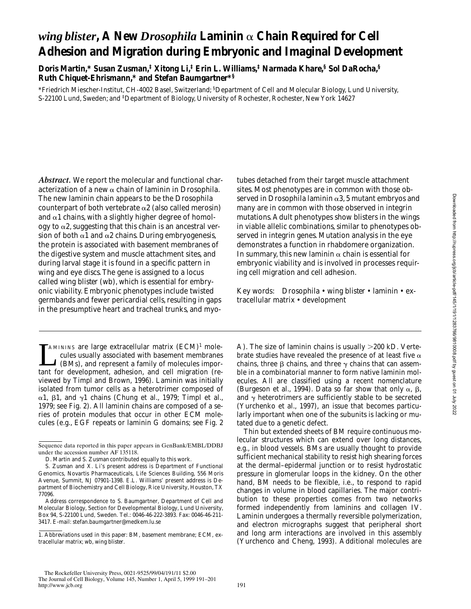# *wing blister***, A New** *Drosophila* **Laminin** a **Chain Required for Cell Adhesion and Migration during Embryonic and Imaginal Development**

**Doris Martin,\* Susan Zusman,‡ Xitong Li,‡ Erin L. Williams,‡ Narmada Khare,§ Sol DaRocha,§ Ruth Chiquet-Ehrismann,\* and Stefan Baumgartner\*§**

\*Friedrich Miescher-Institut, CH-4002 Basel, Switzerland; § Department of Cell and Molecular Biology, Lund University, S-22100 Lund, Sweden; and ‡ Department of Biology, University of Rochester, Rochester, New York 14627

*Abstract.* We report the molecular and functional characterization of a new a chain of laminin in *Drosophila*. The new laminin chain appears to be the *Drosophila* counterpart of both vertebrate  $\alpha$ 2 (also called merosin) and  $\alpha$ 1 chains, with a slightly higher degree of homology to  $\alpha$ 2, suggesting that this chain is an ancestral version of both  $\alpha$ 1 and  $\alpha$ 2 chains. During embryogenesis, the protein is associated with basement membranes of the digestive system and muscle attachment sites, and during larval stage it is found in a specific pattern in wing and eye discs. The gene is assigned to a locus called *wing blister* (*wb*), which is essential for embryonic viability. Embryonic phenotypes include twisted germbands and fewer pericardial cells, resulting in gaps in the presumptive heart and tracheal trunks, and myo-

MININS are large extracellular matrix (ECM)<sup>1</sup> mole-<br>cules usually associated with basement membranes<br>(BMs), and represent a family of molecules impor-<br>tant for davelapment, adhesion, and call migration (recules usually associated with basement membranes (BMs), and represent a family of molecules important for development, adhesion, and cell migration (reviewed by Timpl and Brown, 1996). Laminin was initially isolated from tumor cells as a heterotrimer composed of  $\alpha$ 1,  $\beta$ 1, and  $\gamma$ 1 chains (Chung et al., 1979; Timpl et al., 1979; see Fig. 2). All laminin chains are composed of a series of protein modules that occur in other ECM molecules (e.g., EGF repeats or laminin G domains; see Fig. 2

tubes detached from their target muscle attachment sites. Most phenotypes are in common with those observed in *Drosophila* laminin a3, 5 mutant embryos and many are in common with those observed in integrin mutations. Adult phenotypes show blisters in the wings in viable allelic combinations, similar to phenotypes observed in integrin genes. Mutation analysis in the eye demonstrates a function in rhabdomere organization. In summary, this new laminin  $\alpha$  chain is essential for embryonic viability and is involved in processes requiring cell migration and cell adhesion.

Key words: *Drosophila* • *wing blister* • laminin • extracellular matrix • development

A). The size of laminin chains is usually  $>200$  kD. Vertebrate studies have revealed the presence of at least five  $\alpha$ chains, three  $\beta$  chains, and three  $\gamma$  chains that can assemble in a combinatorial manner to form native laminin molecules. All are classified using a recent nomenclature (Burgeson et al., 1994). Data so far show that only  $\alpha$ ,  $\beta$ , and  $\gamma$  heterotrimers are sufficiently stable to be secreted (Yurchenko et al., 1997), an issue that becomes particularly important when one of the subunits is lacking or mutated due to a genetic defect.

Thin but extended sheets of BM require continuous molecular structures which can extend over long distances, e.g., in blood vessels. BMs are usually thought to provide sufficient mechanical stability to resist high shearing forces at the dermal–epidermal junction or to resist hydrostatic pressure in glomerular loops in the kidney. On the other hand, BM needs to be flexible, i.e., to respond to rapid changes in volume in blood capillaries. The major contribution to these properties comes from two networks formed independently from laminins and collagen IV. Laminin undergoes a thermally reversible polymerization, and electron micrographs suggest that peripheral short and long arm interactions are involved in this assembly (Yurchenco and Cheng, 1993). Additional molecules are

Sequence data reported in this paper appears in GenBank/EMBL/DDBJ under the accession number AF 135118.

D. Martin and S. Zusman contributed equally to this work.

S. Zusman and X. Li's present address is Department of Functional Genomics, Novartis Pharmaceuticals, Life Sciences Building, 556 Moris Avenue, Summit, NJ 07901-1398. E.L. Williams' present address is Department of Biochemistry and Cell Biology, Rice University, Houston, TX 77096.

Address correspondence to S. Baumgartner, Department of Cell and Molecular Biology, Section for Developmental Biology, Lund University, Box 94, S-22100 Lund, Sweden. Tel.: 0046-46-222-3893. Fax: 0046-46-211- 3417. E-mail: stefan.baumgartner@medkem.lu.se

<sup>1.</sup> *Abbreviations used in this paper:* BM, basement membrane; ECM, extracellular matrix; *wb*, *wing blister*.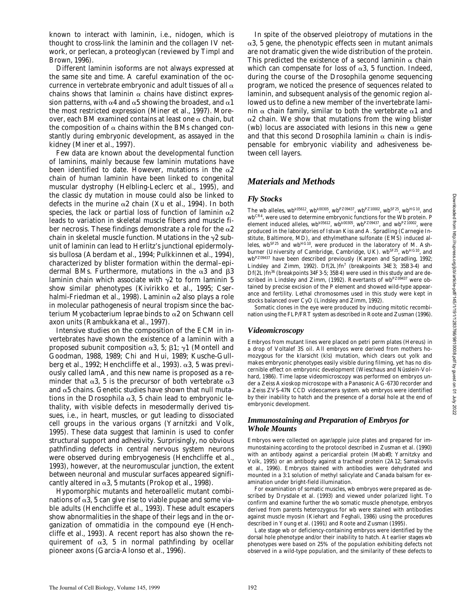known to interact with laminin, i.e., nidogen, which is thought to cross-link the laminin and the collagen IV network, or perlecan, a proteoglycan (reviewed by Timpl and Brown, 1996).

Different laminin isoforms are not always expressed at the same site and time. A careful examination of the occurrence in vertebrate embryonic and adult tissues of all  $\alpha$ chains shows that laminin  $\alpha$  chains have distinct expression patterns, with  $\alpha$ 4 and  $\alpha$ 5 showing the broadest, and  $\alpha$ 1 the most restricted expression (Miner et al., 1997). Moreover, each BM examined contains at least one  $\alpha$  chain, but the composition of  $\alpha$  chains within the BMs changed constantly during embryonic development, as assayed in the kidney (Miner et al., 1997).

Few data are known about the developmental function of laminins, mainly because few laminin mutations have been identified to date. However, mutations in the  $\alpha$ 2 chain of human laminin have been linked to congenital muscular dystrophy (Helbling-Leclerc et al., 1995), and the classic *dy* mutation in mouse could also be linked to defects in the murine  $\alpha$ 2 chain (Xu et al., 1994). In both species, the lack or partial loss of function of laminin  $\alpha$ 2 leads to variation in skeletal muscle fibers and muscle fiber necrosis. These findings demonstrate a role for the  $\alpha$ 2 chain in skeletal muscle function. Mutations in the  $\gamma$ 2 subunit of laminin can lead to Herlitz's junctional epidermolysis bullosa (Aberdam et al., 1994; Pulkkinnen et al., 1994), characterized by blister formation within the dermal–epidermal BMs. Furthermore, mutations in the  $\alpha$ 3 and  $\beta$ 3 laminin chain which associate with  $\gamma$ 2 to form laminin 5 show similar phenotypes (Kivirikko et al., 1995; Cserhalmi-Friedman et al., 1998). Laminin  $\alpha$ 2 also plays a role in molecular pathogenesis of neural tropism since the bacterium *Mycobacterium leprae* binds to a2 on Schwann cell axon units (Rambukkana et al., 1997).

Intensive studies on the composition of the ECM in invertebrates have shown the existence of a laminin with a proposed subunit composition  $\alpha$ 3, 5;  $\beta$ 1;  $\gamma$ 1 (Montell and Goodman, 1988, 1989; Chi and Hui, 1989; Kusche-Gullberg et al., 1992; Henchcliffe et al., 1993).  $\alpha$ 3, 5 was previously called lamA, and this new name is proposed as a reminder that  $\alpha$ 3, 5 is the precursor of both vertebrate  $\alpha$ 3 and  $\alpha$ 5 chains. Genetic studies have shown that null mutations in the *Drosophila*  $\alpha$ 3, 5 chain lead to embryonic lethality, with visible defects in mesodermally derived tissues, i.e., in heart, muscles, or gut leading to dissociated cell groups in the various organs (Yarnitzki and Volk, 1995). These data suggest that laminin is used to confer structural support and adhesivity. Surprisingly, no obvious pathfinding defects in central nervous system neurons were observed during embryogenesis (Henchcliffe et al., 1993), however, at the neuromuscular junction, the extent between neuronal and muscular surfaces appeared significantly altered in  $\alpha$ 3, 5 mutants (Prokop et al., 1998).

Hypomorphic mutants and heteroallelic mutant combinations of  $\alpha$ 3, 5 can give rise to viable pupae and some viable adults (Henchcliffe et al., 1993). These adult escapers show abnormalities in the shape of their legs and in the organization of ommatidia in the compound eye (Henchcliffe et al., 1993). A recent report has also shown the requirement of  $\alpha$ 3, 5 in normal pathfinding by ocellar pioneer axons (Garcia-Alonso et al., 1996).

In spite of the observed pleiotropy of mutations in the  $\alpha$ 3, 5 gene, the phenotypic effects seen in mutant animals are not dramatic given the wide distribution of the protein. This predicted the existence of a second laminin  $\alpha$  chain which can compensate for loss of  $\alpha$ 3, 5 function. Indeed, during the course of the *Drosophila* genome sequencing program, we noticed the presence of sequences related to laminin, and subsequent analysis of the genomic region allowed us to define a new member of the invertebrate laminin  $\alpha$  chain family, similar to both the vertebrate  $\alpha$ 1 and a2 chain. We show that mutations from the *wing blister* (*wb*) locus are associated with lesions in this new  $\alpha$  gene and that this second *Drosophila* laminin  $\alpha$  chain is indispensable for embryonic viability and adhesiveness between cell layers.

# *Materials and Methods*

# *Fly Stocks*

The *wb* alleles, *wbk05612*, *wbk00305*, *wbPZ09437*, *wbPZ10002*, *wbSF25*, *wbHG10*, and *wbCR4*, were used to determine embryonic functions for the Wb protein. P element induced alleles,  $wb^{k05612}$ ,  $wb^{k00305}$ ,  $wb^{PZ09437}$ , and  $wb^{PZ10002}$ , were produced in the laboratories of Istvan Kiss and A. Spradling (Carnegie Institute, Baltimore, MD), and ethylmethane sulfonate (EMS) induced alleles,  $w^2b^{SFS}$  and  $w^2b^{HG10}$ , were produced in the laboratory of M. Ash-<br>burner (University of Cambridge, Cambridge, UK).  $w^2b^{FG1}$ ,  $w^2b^{HG10}$ , and burner (University of Cambridge, Cambridge, UK).  $wb^{SF25}$ *wbPZ09437* have been described previously (Karpen and Spradling, 1992; Lindsley and Zimm, 1992). *Df(2L)fn7* (breakpoints 34E3; 35B3-4) and *Df(2L)fn36* (breakpoints 34F3-5; 35B4) were used in this study and are described in Lindsley and Zimm, (1992). Revertants of *wbPZ09437* were obtained by precise excision of the P element and showed wild-type appearance and fertility. Lethal chromosomes used in this study were kept in stocks balanced over *CyO* (Lindsley and Zimm, 1992).

Somatic clones in the eye were produced by inducing mitotic recombination using the FLP/FRT system as described in Roote and Zusman (1996).

# *Videomicroscopy*

Embryos from mutant lines were placed on petri perm plates (Hereus) in a drop of Voltalef 3S oil. All embryos were derived from mothers homozygous for the *klarsicht* (*kls*) mutation, which clears out yolk and makes embryonic phenotypes easily visible during filming, yet has no discernible effect on embryonic development (Wieschaus and Nüsslein-Volhard, 1986). Time lapse videomicroscopy was performed on embryos under a Zeiss Axioskop microscope with a Panasonic AG-6730 recorder and a Zeiss ZVS-47N CCD videocamera system. *wb* embryos were identified by their inability to hatch and the presence of a dorsal hole at the end of embryonic development.

## *Immunostaining and Preparation of Embryos for Whole Mounts*

Embryos were collected on agar/apple juice plates and prepared for immunostaining according to the protocol described in Zusman et al. (1990) with an antibody against a pericardial protein (*Mab#3*; Yarnitzky and Volk, 1995) or an antibody against a tracheal protein (*2A12*; Samakovlis et al., 1996). Embryos stained with antibodies were dehydrated and mounted in a 3:1 solution of methyl salicylate and Canada balsam for examination under bright-field illumination.

For examination of somatic muscles, *wb* embryos were prepared as described by Drysdale et al. (1993) and viewed under polarized light. To confirm and examine further the *wb* somatic muscle phenotype, embryos derived from parents heterozygous for *wb* were stained with antibodies against muscle myosin (Kiehart and Feghali, 1986) using the procedures described in Young et al. (1991) and Roote and Zusman (1995)

Late stage *wb* or deficiency-containing embryos were identified by the dorsal hole phenotype and/or their inability to hatch. At earlier stages *wb* phenotypes were based on 25% of the population exhibiting defects not observed in a wild-type population, and the similarity of these defects to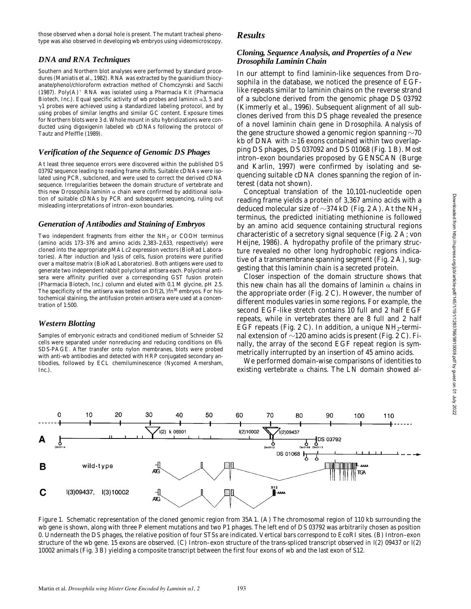those observed when a dorsal hole is present. The mutant tracheal phenotype was also observed in developing *wb* embryos using videomicroscopy.

# *DNA and RNA Techniques*

Southern and Northern blot analyses were performed by standard procedures (Maniatis et al., 1982). RNA was extracted by the guanidium thiocyanate/phenol/chloroform extraction method of Chomczynski and Sacchi (1987). Poly $(A)^+$  RNA was isolated using a Pharmacia Kit (Pharmacia Biotech, Inc.). Equal specific activity of  $wb$  probes and laminin  $\alpha$ 3, 5 and  $\gamma$ 1 probes were achieved using a standardized labeling protocol, and by using probes of similar lengths and similar GC content. Exposure times for Northern blots were 3 d. Whole mount in situ hybridizations were conducted using digoxigenin labeled *wb* cDNAs following the protocol of Tautz and Pfeiffle (1989).

# *Verification of the Sequence of Genomic DS Phages*

At least three sequence errors were discovered within the published DS 03792 sequence leading to reading frame shifts. Suitable cDNAs were isolated using PCR, subcloned, and were used to correct the derived cDNA sequence. Irregularities between the domain structure of vertebrate and this new *Drosophila* laminin  $\alpha$  chain were confirmed by additional isolation of suitable cDNAs by PCR and subsequent sequencing, ruling out misleading interpretations of intron–exon boundaries.

# *Generation of Antibodies and Staining of Embryos*

Two independent fragments from either the  $NH<sub>2</sub>$  or COOH terminus (amino acids 173–376 and amino acids 2,383–2,633, respectively) were cloned into the appropriate pMALc2 expression vectors (BioRad Laboratories). After induction and lysis of cells, fusion proteins were purified over a maltose matrix (BioRad Laboratories). Both antigens were used to generate two independent rabbit polyclonal antisera each. Polyclonal antisera were affinity purified over a corresponding GST fusion protein (Pharmacia Biotech, Inc.) column and eluted with 0.1 M glycine, pH 2.5. The specificity of the antisera was tested on *Df(2L)fn36* embryos. For histochemical staining, the antifusion protein antisera were used at a concentration of 1:500.

# *Western Blotting*

Samples of embryonic extracts and conditioned medium of Schneider S2 cells were separated under nonreducing and reducing conditions on 6% SDS-PAGE. After transfer onto nylon membranes, blots were probed with anti-*wb* antibodies and detected with HRP conjugated secondary antibodies, followed by ECL chemiluminescence (Nycomed Amersham, Inc.).

# *Results*

# *Cloning, Sequence Analysis, and Properties of a New Drosophila Laminin Chain*

In our attempt to find laminin-like sequences from *Drosophila* in the database, we noticed the presence of EGFlike repeats similar to laminin chains on the reverse strand of a subclone derived from the genomic phage DS 03792 (Kimmerly et al., 1996). Subsequent alignment of all subclones derived from this DS phage revealed the presence of a novel laminin chain gene in *Drosophila*. Analysis of the gene structure showed a genomic region spanning  $\sim$  70 kb of DNA with  $\geq$ 16 exons contained within two overlapping DS phages, DS 037092 and DS 01068 (Fig. 1 B). Most intron–exon boundaries proposed by GENSCAN (Burge and Karlin, 1997) were confirmed by isolating and sequencing suitable cDNA clones spanning the region of interest (data not shown).

Conceptual translation of the 10,101-nucleotide open reading frame yields a protein of 3,367 amino acids with a deduced molecular size of  $\sim$ 374 kD (Fig. 2 A). At the NH<sub>2</sub> terminus, the predicted initiating methionine is followed by an amino acid sequence containing structural regions characteristic of a secretory signal sequence (Fig. 2 A; von Heijne, 1986). A hydropathy profile of the primary structure revealed no other long hydrophobic regions indicative of a transmembrane spanning segment (Fig. 2 A), suggesting that this laminin chain is a secreted protein.

Closer inspection of the domain structure shows that this new chain has all the domains of laminin  $\alpha$  chains in the appropriate order (Fig. 2 C). However, the number of different modules varies in some regions. For example, the second EGF-like stretch contains 10 full and 2 half EGF repeats, while in vertebrates there are 8 full and 2 half EGF repeats (Fig. 2 C). In addition, a unique  $NH<sub>2</sub>$ -terminal extension of  $\sim$ 120 amino acids is present (Fig. 2 C). Finally, the array of the second EGF repeat region is symmetrically interrupted by an insertion of 45 amino acids.

We performed domain-wise comparisons of identities to existing vertebrate  $\alpha$  chains. The LN domain showed al-



*Figure 1.* Schematic representation of the cloned genomic region from 35A1. (A) The chromosomal region of 110 kb surrounding the *wb* gene is shown, along with three P element mutations and two P1 phages. The left end of DS 03792 was arbitrarily chosen as position 0. Underneath the DS phages, the relative position of four STSs are indicated. Vertical bars correspond to EcoRI sites. (B) Intron–exon structure of the *wb* gene. 15 exons are observed. (C) Intron–exon structure of the trans-spliced transcript observed in *l(2) 09437* or *l(2) 10002* animals (Fig. 3 B) yielding a composite transcript between the first four exons of *wb* and the last exon of S12.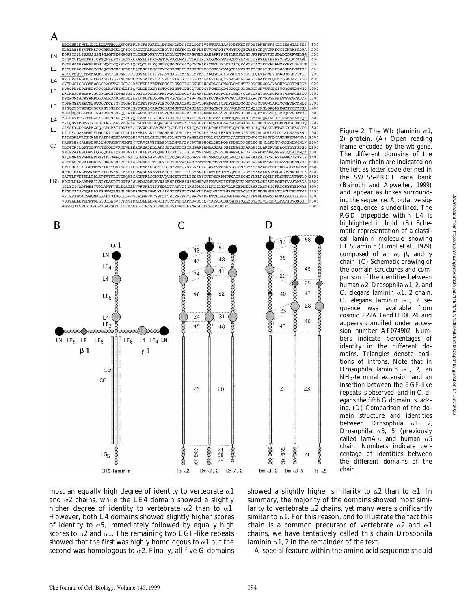

most an equally high degree of identity to vertebrate  $\alpha$ 1 and  $\alpha$ 2 chains, while the LE4 domain showed a slightly higher degree of identity to vertebrate  $\alpha$ 2 than to  $\alpha$ 1. However, both L4 domains showed slightly higher scores of identity to  $\alpha$ 5, immediately followed by equally high scores to  $\alpha$ 2 and  $\alpha$ 1. The remaining two EGF-like repeats showed that the first was highly homologous to  $\alpha$ 1 but the second was homologous to  $\alpha$ 2. Finally, all five G domains







The different domains of the laminin  $\alpha$  chain are indicated on the left as letter code defined in the SWISS-PROT data bank (Bairoch and Apweiler, 1999) and appear as boxes surrounding the sequence. A putative signal sequence is underlined. The RGD tripeptide within L4 is highlighted in bold. (B) Schematic representation of a classical laminin molecule showing EHS laminin (Timpl et al., 1979) composed of an  $\alpha$ ,  $\beta$ , and  $\gamma$ chain. (C) Schematic drawing of the domain structures and comparison of the identities between human a2, *Drosophila* a1, 2, and *C. elegans* laminin a1, 2 chain. *C. elegans* laminin a1, 2 sequence was available from cosmid T22A3 and H10E24, and appears compiled under accession number AF074902. Numbers indicate percentages of identity in the different domains. Triangles denote positions of introns. Note that in *Drosophila* laminin a1, 2, an  $NH<sub>2</sub>$ -terminal extension and an insertion between the EGF-like repeats is observed, and in *C*. *elegans* the fifth G domain is lacking. (D) Comparison of the domain structure and identities between *Drosophila* a1, 2, *Drosophila* a3, 5 (previously called lamA), and human  $\alpha$ 5 chain. Numbers indicate percentage of identities between the different domains of the chain.

*Figure 2.* The Wb (laminin  $\alpha$ 1, 2) protein. (A) Open reading frame encoded by the *wb* gene.

showed a slightly higher similarity to  $\alpha$ 2 than to  $\alpha$ 1. In summary, the majority of the domains showed most similarity to vertebrate  $\alpha$ 2 chains, yet many were significantly similar to  $\alpha$ 1. For this reason, and to illustrate the fact this chain is a common precursor of vertebrate  $\alpha$ 2 and  $\alpha$ 1 chains, we have tentatively called this chain *Drosophila* laminin  $\alpha$ 1, 2 in the remainder of the text.

A special feature within the amino acid sequence should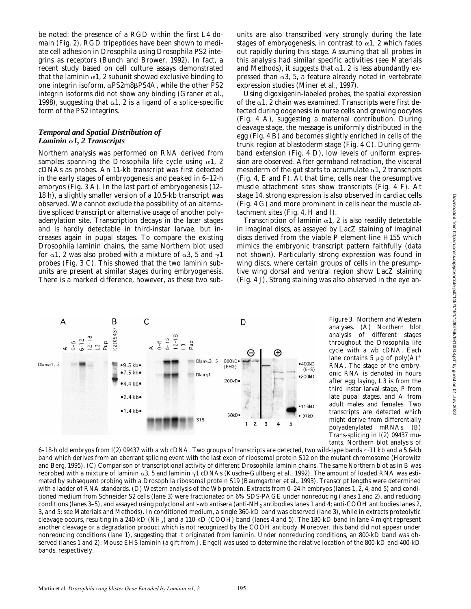be noted: the presence of a RGD within the first L4 domain (Fig. 2). RGD tripeptides have been shown to mediate cell adhesion in *Drosophila* using *Drosophila* PS2 integrins as receptors (Bunch and Brower, 1992). In fact, a recent study based on cell culture assays demonstrated that the laminin  $\alpha$ 1, 2 subunit showed exclusive binding to one integrin isoform,  $\alpha$ PS2m8 $\beta$ PS4A, while the other PS2 integrin isoforms did not show any binding (Graner et al., 1998), suggesting that  $\alpha$ 1, 2 is a ligand of a splice-specific form of the PS2 integrins.

# *Temporal and Spatial Distribution of Laminin* a*1, 2 Transcripts*

Northern analysis was performed on RNA derived from samples spanning the *Drosophila* life cycle using  $\alpha$ 1, 2 cDNAs as probes. An 11-kb transcript was first detected in the early stages of embryogenesis and peaked in 6–12-h embryos (Fig. 3 A). In the last part of embryogenesis (12– 18 h), a slightly smaller version of a 10.5-kb transcript was observed. We cannot exclude the possibility of an alternative spliced transcript or alternative usage of another polyadenylation site. Transcription decays in the later stages and is hardly detectable in third-instar larvae, but increases again in pupal stages. To compare the existing *Drosophila* laminin chains, the same Northern blot used for  $\alpha$ 1, 2 was also probed with a mixture of  $\alpha$ 3, 5 and  $\gamma$ 1 probes (Fig. 3 C). This showed that the two laminin subunits are present at similar stages during embryogenesis. There is a marked difference, however, as these two sub-

units are also transcribed very strongly during the late stages of embryogenesis, in contrast to  $\alpha$ 1, 2 which fades out rapidly during this stage. Assuming that all probes in this analysis had similar specific activities (see Materials and Methods), it suggests that  $\alpha$ 1, 2 is less abundantly expressed than  $\alpha$ 3, 5, a feature already noted in vertebrate expression studies (Miner et al., 1997).

Using digoxigenin-labeled probes, the spatial expression of the  $\alpha$ 1, 2 chain was examined. Transcripts were first detected during oogenesis in nurse cells and growing oocytes (Fig. 4 A), suggesting a maternal contribution. During cleavage stage, the message is uniformly distributed in the egg (Fig. 4 B) and becomes slightly enriched in cells of the trunk region at blastoderm stage (Fig. 4 C). During germband extension (Fig. 4 D), low levels of uniform expression are observed. After germband retraction, the visceral mesoderm of the gut starts to accumulate  $\alpha$ 1, 2 transcripts (Fig. 4, E and F). At that time, cells near the presumptive muscle attachment sites show transcripts (Fig. 4 F). At stage 14, strong expression is also observed in cardiac cells (Fig. 4 G) and more prominent in cells near the muscle attachment sites (Fig. 4, H and I).

Transcription of laminin  $\alpha$ 1, 2 is also readily detectable in imaginal discs, as assayed by LacZ staining of imaginal discs derived from the viable P element line H155 which mimics the embryonic transcript pattern faithfully (data not shown). Particularly strong expression was found in wing discs, where certain groups of cells in the presumptive wing dorsal and ventral region show LacZ staining (Fig. 4 J). Strong staining was also observed in the eye an-



*Figure 3.* Northern and Western analyses. (A) Northern blot analysis of different stages throughout the *Drosophila* life cycle with a *wb* cDNA. Each lane contains 5  $\mu$ g of poly(A)<sup>+</sup> RNA. The stage of the embryonic RNA is denoted in hours after egg laying, L3 is from the third instar larval stage, P from late pupal stages, and A from adult males and females. Two transcripts are detected which might derive from differentially polyadenylated mRNAs. (B) Trans-splicing in *l(2) 09437* mutants. Northern blot analysis of

6–18-h old embryos from  $I(2)$  09437 with a *wb* cDNA. Two groups of transcripts are detected, two wild-type bands  $\sim$ 11 kb and a 5.6-kb band which derives from an aberrant splicing event with the last exon of ribosomal protein S12 on the mutant chromosome (Horowitz and Berg, 1995). (C) Comparison of transcriptional activity of different *Drosophila* laminin chains. The same Northern blot as in B was reprobed with a mixture of laminin  $\alpha$ 3, 5 and laminin  $\gamma$ 1 cDNAs (Kusche-Gullberg et al., 1992). The amount of loaded RNA was estimated by subsequent probing with a *Drosophila* ribosomal protein S19 (Baumgartner et al., 1993). Transcript lengths were determined with a ladder of RNA standards. (D) Western analysis of the Wb protein. Extracts from 0-24-h embryos (lanes 1, 2, 4, and 5) and conditioned medium from Schneider S2 cells (lane 3) were fractionated on 6% SDS-PAGE under nonreducing (lanes 1 and 2), and reducing conditions (lanes 3–5), and assayed using polyclonal anti-*wb* antisera (anti-NH2 antibodies lanes 1 and 4; anti-COOH antibodies lanes 2, 3, and 5; see Materials and Methods). In conditioned medium, a single 360-kD band was observed (lane 3), while in extracts proteolytic cleavage occurs, resulting in a 240-kD (NH2) and a 110-kD (COOH) band (lanes 4 and 5). The 180-kD band in lane 4 might represent another cleavage or a degradation product which is not recognized by the COOH antibody. Moreover, this band did not appear under nonreducing conditions (lane 1), suggesting that it originated from laminin. Under nonreducing conditions, an 800-kD band was observed (lanes 1 and 2). Mouse EHS laminin (a gift from J. Engel) was used to determine the relative location of the 800-kD and 400-kD bands, respectively.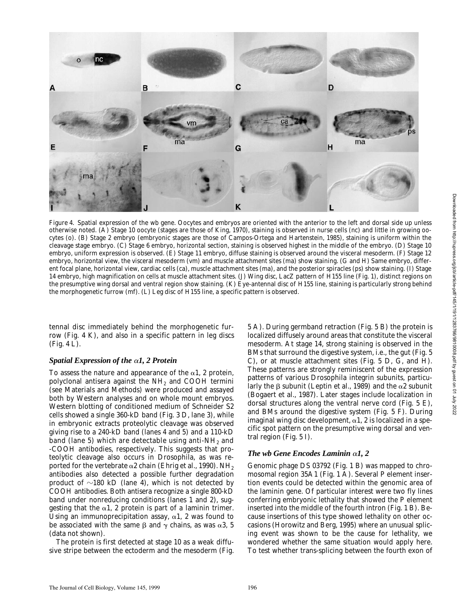

*Figure 4.* Spatial expression of the *wb* gene. Oocytes and embryos are oriented with the anterior to the left and dorsal side up unless otherwise noted. (A) Stage 10 oocyte (stages are those of King, 1970), staining is observed in nurse cells (nc) and little in growing oocytes (o). (B) Stage 2 embryo (embryonic stages are those of Campos-Ortega and Hartenstein, 1985), staining is uniform within the cleavage stage embryo. (C) Stage 6 embryo, horizontal section, staining is observed highest in the middle of the embryo. (D) Stage 10 embryo, uniform expression is observed. (E) Stage 11 embryo, diffuse staining is observed around the visceral mesoderm. (F) Stage 12 embryo, horizontal view, the visceral mesoderm (vm) and muscle attachment sites (ma) show staining. (G and H) Same embryo, different focal plane, horizontal view, cardiac cells (ca), muscle attachment sites (ma), and the posterior spiracles (ps) show staining. (I) Stage 14 embryo, high magnification on cells at muscle attachment sites. (J) Wing disc, LacZ pattern of *H155* line (Fig. 1), distinct regions on the presumptive wing dorsal and ventral region show staining. (K) Eye-antennal disc of *H155* line, staining is particularly strong behind the morphogenetic furrow (mf). (L) Leg disc of *H155* line, a specific pattern is observed.

tennal disc immediately behind the morphogenetic furrow (Fig. 4 K), and also in a specific pattern in leg discs (Fig. 4 L).

### *Spatial Expression of the* a*1, 2 Protein*

To assess the nature and appearance of the  $\alpha$ 1, 2 protein, polyclonal antisera against the  $NH<sub>2</sub>$  and COOH termini (see Materials and Methods) were produced and assayed both by Western analyses and on whole mount embryos. Western blotting of conditioned medium of Schneider S2 cells showed a single 360-kD band (Fig. 3 D, lane 3), while in embryonic extracts proteolytic cleavage was observed giving rise to a 240-kD band (lanes 4 and 5) and a 110-kD band (lane 5) which are detectable using anti- $NH_2$  and -COOH antibodies, respectively. This suggests that proteolytic cleavage also occurs in *Drosophila*, as was reported for the vertebrate  $\alpha$ 2 chain (Ehrig et al., 1990). NH<sub>2</sub> antibodies also detected a possible further degradation product of  $\sim$ 180 kD (lane 4), which is not detected by COOH antibodies. Both antisera recognize a single 800-kD band under nonreducing conditions (lanes 1 and 2), suggesting that the  $\alpha$ 1, 2 protein is part of a laminin trimer. Using an immunoprecipitation assay,  $\alpha$ 1, 2 was found to be associated with the same  $\beta$  and  $\gamma$  chains, as was  $\alpha$ 3, 5 (data not shown).

The protein is first detected at stage 10 as a weak diffusive stripe between the ectoderm and the mesoderm (Fig.

5 A). During germband retraction (Fig. 5 B) the protein is localized diffusely around areas that constitute the visceral mesoderm. At stage 14, strong staining is observed in the BMs that surround the digestive system, i.e., the gut (Fig. 5 C), or at muscle attachment sites (Fig. 5 D, G, and H). These patterns are strongly reminiscent of the expression patterns of various *Drosophila* integrin subunits, particularly the  $\beta$  subunit (Leptin et al., 1989) and the  $\alpha$ 2 subunit (Bogaert et al., 1987). Later stages include localization in dorsal structures along the ventral nerve cord (Fig. 5 E), and BMs around the digestive system (Fig. 5 F). During imaginal wing disc development,  $\alpha$ 1, 2 is localized in a specific spot pattern on the presumptive wing dorsal and ventral region (Fig. 5 I).

## *The wb Gene Encodes Laminin* a*1, 2*

Genomic phage DS 03792 (Fig. 1 B) was mapped to chromosomal region 35A1 (Fig. 1 A). Several P element insertion events could be detected within the genomic area of the laminin gene. Of particular interest were two fly lines conferring embryonic lethality that showed the P element inserted into the middle of the fourth intron (Fig. 1 B). Because insertions of this type showed lethality on other occasions (Horowitz and Berg, 1995) where an unusual splicing event was shown to be the cause for lethality, we wondered whether the same situation would apply here. To test whether trans-splicing between the fourth exon of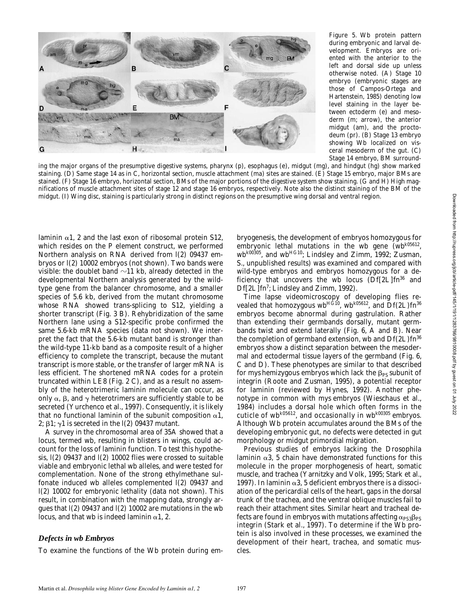

*Figure 5.* Wb protein pattern during embryonic and larval development. Embryos are oriented with the anterior to the left and dorsal side up unless otherwise noted. (A) Stage 10 embryo (embryonic stages are those of Campos-Ortega and Hartenstein, 1985) denoting low level staining in the layer between ectoderm (e) and mesoderm (m; arrow), the anterior midgut (am), and the proctodeum (pr). (B) Stage 13 embryo showing Wb localized on visceral mesoderm of the gut. (C) Stage 14 embryo, BM surround-

ing the major organs of the presumptive digestive systems, pharynx (p), esophagus (e), midgut (mg), and hindgut (hg) show marked staining. (D) Same stage 14 as in C, horizontal section, muscle attachment (ma) sites are stained. (E) Stage 15 embryo, major BMs are stained. (F) Stage 16 embryo, horizontal section, BMs of the major portions of the digestive system show staining. (G and H) High magnifications of muscle attachment sites of stage 12 and stage 16 embryos, respectively. Note also the distinct staining of the BM of the midgut. (I) Wing disc, staining is particularly strong in distinct regions on the presumptive wing dorsal and ventral region.

laminin  $\alpha$ 1, 2 and the last exon of ribosomal protein S12, which resides on the P element construct, we performed Northern analysis on RNA derived from *l(2) 09437* embryos or *l(2) 10002* embryos (not shown). Two bands were visible: the doublet band  $\sim$ 11 kb, already detected in the developmental Northern analysis generated by the wildtype gene from the balancer chromosome, and a smaller species of 5.6 kb, derived from the mutant chromosome whose RNA showed trans-splicing to S12, yielding a shorter transcript (Fig. 3 B). Rehybridization of the same Northern lane using a S12-specific probe confirmed the same 5.6-kb mRNA species (data not shown). We interpret the fact that the 5.6-kb mutant band is stronger than the wild-type 11-kb band as a composite result of a higher efficiency to complete the transcript, because the mutant transcript is more stable, or the transfer of larger mRNA is less efficient. The shortened mRNA codes for a protein truncated within LE8 (Fig. 2 C), and as a result no assembly of the heterotrimeric laminin molecule can occur, as only  $\alpha$ ,  $\beta$ , and  $\gamma$  heterotrimers are sufficiently stable to be secreted (Yurchenco et al., 1997). Consequently, it is likely that no functional laminin of the subunit composition  $\alpha$ 1, 2;  $\beta$ 1;  $\gamma$ 1 is secreted in the *l(2) 09437* mutant.

A survey in the chromosomal area of 35A showed that a locus, termed *wb*, resulting in blisters in wings, could account for the loss of laminin function. To test this hypothesis, *l(2) 09437* and *l(2) 10002* flies were crossed to suitable viable and embryonic lethal *wb* alleles, and were tested for complementation. None of the strong ethylmethane sulfonate induced *wb* alleles complemented *l(2) 09437* and *l(2) 10002* for embryonic lethality (data not shown). This result, in combination with the mapping data, strongly argues that *l(2) 09437* and *l(2) 10002* are mutations in the *wb* locus, and that *wb* is indeed laminin  $\alpha$ 1, 2.

#### *Defects in wb Embryos*

To examine the functions of the Wb protein during em-

bryogenesis, the development of embryos homozygous for embryonic lethal mutations in the *wb* gene (*wbk05612*, *wbk00305*, and *wbHG10*; Lindsley and Zimm, 1992; Zusman, S., unpublished results) was examined and compared with wild-type embryos and embryos homozygous for a deficiency that uncovers the *wb* locus (*Df[2L]fn36* and *Df[2L]fn7* ; Lindsley and Zimm, 1992).

Time lapse videomicroscopy of developing flies revealed that homozygous *wbHG10*, *wbk05612*, and *Df(2L)fn36* embryos become abnormal during gastrulation. Rather than extending their germbands dorsally, mutant germbands twist and extend laterally (Fig. 6, A and B). Near the completion of germband extension, *wb* and *Df(2L)fn36* embryos show a distinct separation between the mesodermal and ectodermal tissue layers of the germband (Fig. 6, C and D). These phenotypes are similar to that described for  $mys$  hemizygous embryos which lack the  $\beta_{PS}$  subunit of integrin (Roote and Zusman, 1995), a potential receptor for laminin (reviewed by Hynes, 1992). Another phenotype in common with *mys* embryos (Wieschaus et al., 1984) includes a dorsal hole which often forms in the cuticle of *wbk05612*, and occasionally in *wbk00305* embryos. Although Wb protein accumulates around the BMs of the developing embryonic gut, no defects were detected in gut morphology or midgut primordial migration.

Previous studies of embryos lacking the *Drosophila* laminin  $\alpha$ 3, 5 chain have demonstrated functions for this molecule in the proper morphogenesis of heart, somatic muscle, and trachea (Yarnitzky and Volk, 1995; Stark et al., 1997). In laminin  $\alpha$ 3, 5 deficient embryos there is a dissociation of the pericardial cells of the heart, gaps in the dorsal trunk of the trachea, and the ventral oblique muscles fail to reach their attachment sites. Similar heart and tracheal defects are found in embryos with mutations affecting  $\alpha_{PS3}\beta_{PS}$ integrin (Stark et al., 1997). To determine if the Wb protein is also involved in these processes, we examined the development of their heart, trachea, and somatic muscles.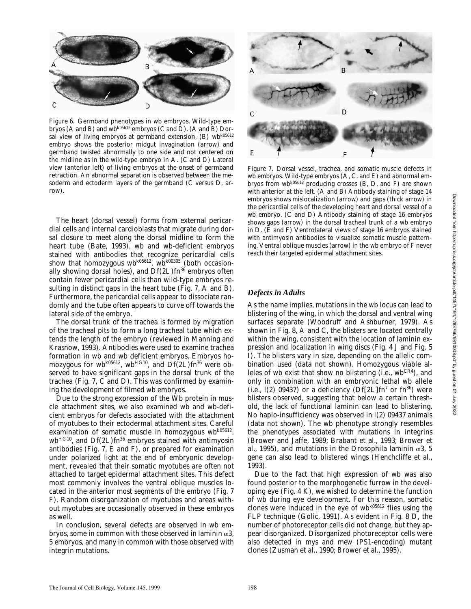

*Figure 6.* Germband phenotypes in *wb* embryos. Wild-type embryos (A and B) and *wbk05612* embryos (C and D). (A and B) Dorsal view of living embryos at germband extension. (B) *wbk05612* embryo shows the posterior midgut invagination (arrow) and germband twisted abnormally to one side and not centered on the midline as in the wild-type embryo in A. (C and D) Lateral view (anterior left) of living embryos at the onset of germband retraction. An abnormal separation is observed between the mesoderm and ectoderm layers of the germband (C versus D, arrow).

The heart (dorsal vessel) forms from external pericardial cells and internal cardioblasts that migrate during dorsal closure to meet along the dorsal midline to form the heart tube (Bate, 1993). *wb* and *wb*-deficient embryos stained with antibodies that recognize pericardial cells show that homozygous  $wb^{k05612}$ ,  $wb^{k00305}$  (both occasionally showing dorsal holes), and *Df(2L)fn36* embryos often contain fewer pericardial cells than wild-type embryos resulting in distinct gaps in the heart tube (Fig. 7, A and B). Furthermore, the pericardial cells appear to dissociate randomly and the tube often appears to curve off towards the lateral side of the embryo.

The dorsal trunk of the trachea is formed by migration of the tracheal pits to form a long tracheal tube which extends the length of the embryo (reviewed in Manning and Krasnow, 1993). Antibodies were used to examine trachea formation in *wb* and *wb* deficient embryos. Embryos homozygous for *wbk05612*, *wbHG10*, and *Df(2L)fn36* were observed to have significant gaps in the dorsal trunk of the trachea (Fig. 7, C and D). This was confirmed by examining the development of filmed *wb* embryos.

Due to the strong expression of the Wb protein in muscle attachment sites, we also examined *wb* and *wb*-deficient embryos for defects associated with the attachment of myotubes to their ectodermal attachment sites. Careful examination of somatic muscle in homozygous *wbk05612*, *wbHG10*, and *Df(2L)fn36* embryos stained with antimyosin antibodies (Fig. 7, E and F), or prepared for examination under polarized light at the end of embryonic development, revealed that their somatic myotubes are often not attached to target epidermal attachment sites. This defect most commonly involves the ventral oblique muscles located in the anterior most segments of the embryo (Fig. 7 F). Random disorganization of myotubes and areas without myotubes are occasionally observed in these embryos as well.

In conclusion, several defects are observed in *wb* embryos, some in common with those observed in laminin  $\alpha$ 3, 5 embryos, and many in common with those observed with integrin mutations.



*Figure 7.* Dorsal vessel, trachea, and somatic muscle defects in *wb* embryos. Wild-type embryos (A, C, and E) and abnormal embryos from *wbk05612* producing crosses (B, D, and F) are shown with anterior at the left. (A and B) Antibody staining of stage 14 embryos shows mislocalization (arrow) and gaps (thick arrow) in the pericardial cells of the developing heart and dorsal vessel of a *wb* embryo. (C and D) Antibody staining of stage 16 embryos shows gaps (arrow) in the dorsal tracheal trunk of a *wb* embryo in D. (E and F) Ventrolateral views of stage 16 embryos stained with antimyosin antibodies to visualize somatic muscle patterning. Ventral oblique muscles (arrow) in the *wb* embryo of F never reach their targeted epidermal attachment sites.

### *Defects in Adults*

As the name implies, mutations in the *wb* locus can lead to blistering of the wing, in which the dorsal and ventral wing surfaces separate (Woodruff and Ashburner, 1979). As shown in Fig. 8, A and C, the blisters are located centrally within the wing, consistent with the location of laminin expression and localization in wing discs (Fig. 4 J and Fig. 5 I). The blisters vary in size, depending on the allelic combination used (data not shown). Homozygous viable alleles of *wb* exist that show no blistering (i.e., *wbCR4*), and only in combination with an embryonic lethal *wb* allele (i.e., *l(2) 09437*) or a deficiency (*Df[2L]fn7* or *fn36*) were blisters observed, suggesting that below a certain threshold, the lack of functional laminin can lead to blistering. No haplo-insufficiency was observed in *l(2) 09437* animals (data not shown). The *wb* phenotype strongly resembles the phenotypes associated with mutations in integrins (Brower and Jaffe, 1989; Brabant et al., 1993; Brower et al., 1995), and mutations in the *Drosophila* laminin  $\alpha$ 3, 5 gene can also lead to blistered wings (Henchcliffe et al., 1993).

Due to the fact that high expression of *wb* was also found posterior to the morphogenetic furrow in the developing eye (Fig. 4 K), we wished to determine the function of *wb* during eye development. For this reason, somatic clones were induced in the eye of *wbk05612* flies using the FLP technique (Golic, 1991). As evident in Fig. 8 D, the number of photoreceptor cells did not change, but they appear disorganized. Disorganized photoreceptor cells were also detected in *mys* and *mew* (PS1-encoding) mutant clones (Zusman et al., 1990; Brower et al., 1995).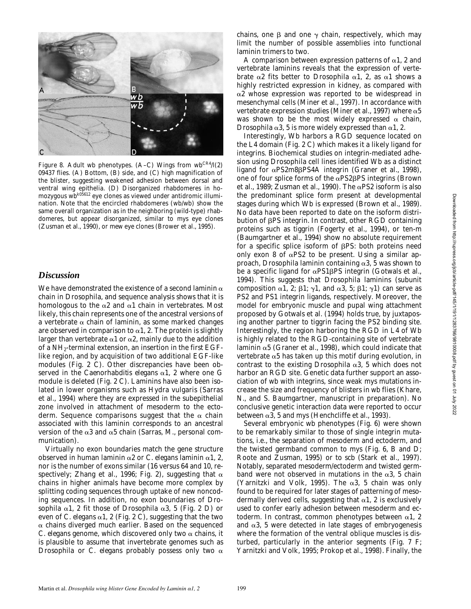

*Figure 8.* Adult *wb* phenotypes. (A–C) Wings from *wbCR4*/*l(2) 09437* flies. (A) Bottom, (B) side, and (C) high magnification of the blister, suggesting weakened adhesion between dorsal and ventral wing epithelia. (D) Disorganized rhabdomeres in homozygous *wbk05612* eye clones as viewed under antidromic illumination. Note that the encircled rhabdomeres (*wb*/*wb*) show the same overall organization as in the neighboring (wild-type) rhabdomeres, but appear disorganized, similar to *mys* eye clones (Zusman et al., 1990), or *mew* eye clones (Brower et al., 1995).

# *Discussion*

We have demonstrated the existence of a second laminin  $\alpha$ chain in *Drosophila*, and sequence analysis shows that it is homologous to the  $\alpha$ 2 and  $\alpha$ 1 chain in vertebrates. Most likely, this chain represents one of the ancestral versions of a vertebrate  $\alpha$  chain of laminin, as some marked changes are observed in comparison to  $\alpha$ 1, 2. The protein is slightly larger than vertebrate  $\alpha$ 1 or  $\alpha$ 2, mainly due to the addition of a  $NH<sub>2</sub>$ -terminal extension, an insertion in the first EGFlike region, and by acquisition of two additional EGF-like modules (Fig. 2 C). Other discrepancies have been observed in the *Caenorhabditis elegans* a1, 2 where one G module is deleted (Fig. 2 C). Laminins have also been isolated in lower organisms such as *Hydra vulgaris* (Sarras et al., 1994) where they are expressed in the subepithelial zone involved in attachment of mesoderm to the ectoderm. Sequence comparisons suggest that the  $\alpha$  chain associated with this laminin corresponds to an ancestral version of the  $\alpha$ 3 and  $\alpha$ 5 chain (Sarras, M., personal communication).

Virtually no exon boundaries match the gene structure observed in human laminin  $\alpha$ 2 or *C. elegans* laminin  $\alpha$ 1, 2, nor is the number of exons similar (16 versus 64 and 10, respectively; Zhang et al., 1996; Fig. 2), suggesting that  $\alpha$ chains in higher animals have become more complex by splitting coding sequences through uptake of new noncoding sequences. In addition, no exon boundaries of *Drosophila*  $\alpha$ 1, 2 fit those of *Drosophila*  $\alpha$ 3, 5 (Fig. 2 D) or even of *C.* elegans  $\alpha$ 1, 2 (Fig. 2 C), suggesting that the two  $\alpha$  chains diverged much earlier. Based on the sequenced *C.* elegans genome, which discovered only two  $\alpha$  chains, it is plausible to assume that invertebrate genomes such as *Drosophila* or *C.* elegans probably possess only two  $\alpha$  chains, one  $\beta$  and one  $\gamma$  chain, respectively, which may limit the number of possible assemblies into functional laminin trimers to two.

A comparison between expression patterns of  $\alpha$ 1, 2 and vertebrate laminins reveals that the expression of vertebrate  $\alpha$ 2 fits better to *Drosophila*  $\alpha$ 1, 2, as  $\alpha$ 1 shows a highly restricted expression in kidney, as compared with  $\alpha$ 2 whose expression was reported to be widespread in mesenchymal cells (Miner et al., 1997). In accordance with vertebrate expression studies (Miner et al., 1997) where  $\alpha 5$ was shown to be the most widely expressed  $\alpha$  chain, *Drosophila*  $\alpha$ 3, 5 is more widely expressed than  $\alpha$ 1, 2.

Interestingly, Wb harbors a RGD sequence located on the L4 domain (Fig. 2 C) which makes it a likely ligand for integrins. Biochemical studies on integrin-mediated adhesion using *Drosophila* cell lines identified Wb as a distinct ligand for  $\alpha$ PS2m8 $\beta$ PS4A integrin (Graner et al., 1998), one of four splice forms of the  $\alpha$ PS2 $\beta$ PS integrins (Brown et al., 1989; Zusman et al., 1990). The  $\alpha$ PS2 isoform is also the predominant splice form present at developmental stages during which Wb is expressed (Brown et al., 1989). No data have been reported to date on the isoform distribution of bPS integrin. In contrast, other RGD containing proteins such as tiggrin (Fogerty et al., 1994), or ten-m (Baumgartner et al., 1994) show no absolute requirement for a specific splice isoform of  $\beta PS$ : both proteins need only exon 8 of  $\alpha$ PS2 to be present. Using a similar approach, *Drosophila* laminin containing  $\alpha$ 3, 5 was shown to be a specific ligand for  $\alpha$ PS1 $\beta$ PS integrin (Gotwals et al., 1994). This suggests that *Drosophila* laminins (subunit composition  $\alpha$ 1, 2;  $\beta$ 1;  $\gamma$ 1, and  $\alpha$ 3, 5;  $\beta$ 1;  $\gamma$ 1) can serve as PS2 and PS1 integrin ligands, respectively. Moreover, the model for embryonic muscle and pupal wing attachment proposed by Gotwals et al. (1994) holds true, by juxtaposing another partner to tiggrin facing the PS2 binding site. Interestingly, the region harboring the RGD in L4 of Wb is highly related to the RGD-containing site of vertebrate laminin  $\alpha$ 5 (Graner et al., 1998), which could indicate that vertebrate  $\alpha$ 5 has taken up this motif during evolution, in contrast to the existing *Drosophila*  $\alpha$ 3, 5 which does not harbor an RGD site. Genetic data further support an association of *wb* with integrins, since weak *mys* mutations increase the size and frequency of blisters in *wb* flies (Khare, N., and S. Baumgartner, manuscript in preparation). No conclusive genetic interaction data were reported to occur between  $\alpha$ 3, 5 and *mys* (Henchcliffe et al., 1993).

Several embryonic *wb* phenotypes (Fig. 6) were shown to be remarkably similar to those of single integrin mutations, i.e., the separation of mesoderm and ectoderm, and the twisted germband common to *mys* (Fig. 6, B and D; Roote and Zusman, 1995) or to *scb* (Stark et al., 1997). Notably, separated mesoderm/ectoderm and twisted germband were not observed in mutations in the  $\alpha$ 3, 5 chain (Yarnitzki and Volk, 1995). The  $\alpha$ 3, 5 chain was only found to be required for later stages of patterning of mesodermally derived cells, suggesting that  $\alpha$ 1, 2 is exclusively used to confer early adhesion between mesoderm and ectoderm. In contrast, common phenotypes between  $\alpha$ 1, 2 and  $\alpha$ 3, 5 were detected in late stages of embryogenesis where the formation of the ventral oblique muscles is disturbed, particularly in the anterior segments (Fig. 7 F; Yarnitzki and Volk, 1995; Prokop et al., 1998). Finally, the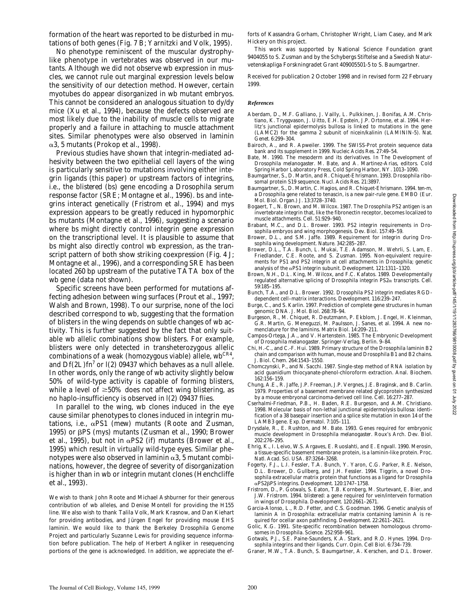formation of the heart was reported to be disturbed in mutations of both genes (Fig. 7 B; Yarnitzki and Volk, 1995).

No phenotype reminiscent of the muscular dystrophylike phenotype in vertebrates was observed in our mutants. Although we did not observe *wb* expression in muscles, we cannot rule out marginal expression levels below the sensitivity of our detection method. However, certain myotubes do appear disorganized in *wb* mutant embryos. This cannot be considered an analogous situation to *dy/dy* mice (Xu et al., 1994), because the defects observed are most likely due to the inability of muscle cells to migrate properly and a failure in attaching to muscle attachment sites. Similar phenotypes were also observed in laminin  $\alpha$ 3, 5 mutants (Prokop et al., 1998).

Previous studies have shown that integrin-mediated adhesivity between the two epithelial cell layers of the wing is particularly sensitive to mutations involving either integrin ligands (this paper) or upstream factors of integrins, i.e., the *blistered* (*bs*) gene encoding a *Drosophila* serum response factor (SRE; Montagne et al., 1996). *bs* and integrins interact genetically (Fristrom et al., 1994) and *mys* expression appears to be greatly reduced in hypomorphic *bs* mutants (Montagne et al., 1996), suggesting a scenario where *bs* might directly control integrin gene expression on the transcriptional level. It is plausible to assume that *bs* might also directly control *wb* expression, as the transcript pattern of both show striking coexpression (Fig. 4 J; Montagne et al., 1996), and a corresponding SRE has been located 260 bp upstream of the putative TATA box of the *wb* gene (data not shown).

Specific screens have been performed for mutations affecting adhesion between wing surfaces (Prout et al., 1997; Walsh and Brown, 1998). To our surprise, none of the loci described correspond to *wb*, suggesting that the formation of blisters in the wing depends on subtle changes of *wb* activity. This is further suggested by the fact that only suitable *wb* allelic combinations show blisters. For example, blisters were only detected in transheterozygous allelic combinations of a weak (homozygous viable) allele, *wbCR4*, and *Df(2L)fn7* or *l(2) 09437* which behaves as a null allele. In other words, only the range of *wb* activity slightly below 50% of wild-type activity is capable of forming blisters, while a level of  $\geq 50\%$  does not affect wing blistering, as no haplo-insufficiency is observed in *l(2) 09437* flies.

In parallel to the wing, *wb* clones induced in the eye cause similar phenotypes to clones induced in integrin mutations, i.e., aPS1 (*mew*) mutants (Roote and Zusman, 1995) or bPS (*mys*) mutants (Zusman et al., 1990; Brower et al., 1995), but not in aPS2 (*if*) mutants (Brower et al., 1995) which result in virtually wild-type eyes. Similar phenotypes were also observed in laminin  $\alpha$ 3, 5 mutant combinations, however, the degree of severity of disorganization is higher than in *wb* or integrin mutant clones (Henchcliffe et al., 1993).

We wish to thank John Roote and Michael Ashburner for their generous contribution of *wb* alleles, and Denise Montell for providing the *H155* line. We also wish to thank Talila Volk, Mark Krasnow, and Dan Kiehart for providing antibodies, and Jürgen Engel for providing mouse EHS laminin. We would like to thank the Berkeley *Drosophila* Genome Project and particularly Suzanne Lewis for providing sequence information before publication. The help of Herbert Angliker in resequencing portions of the gene is acknowledged. In addition, we appreciate the ef-

forts of Kassandra Gorham, Christopher Wright, Liam Casey, and Mark Hickery on this project.

This work was supported by National Science Foundation grant 9404055 to S. Zusman and by the Schybergs Stiftelse and a Swedish Naturvetenskapliga Forskningradet Grant 409005501-5 to S. Baumgartner.

Received for publication 2 October 1998 and in revised form 22 February 1999.

#### *References*

- Aberdam, D., M.F. Galliano, J. Vailly, L. Pulkkinen, J. Bonifas, A.M. Christiano, K. Tryggvason, J. Uitto, E.H. Epstein, J.P. Ortonne, et al. 1994. Herlitz's junctional epidermolysis bullosa is linked to mutations in the gene (LAMC2) for the gamma 2 subunit of nicein/kalinin (LAMININ-5). *Nat. Genet.* 6:299–304.
- Bairoch, A., and R. Apweiler. 1999. The SWISS-Prot protein sequence data bank and its supplement in 1999. *Nucleic Acids Res.* 27:49–54.
- Bate, M. 1990. The mesoderm and its derivatives. *In* The Development of *Drosophila melanogaster.* M. Bate, and A. Martinez-Arias, editors. Cold Spring Harbor Laboratory Press, Cold Spring Harbor, NY. 1013–1090.
- Baumgartner, S., D. Martin, and R. Chiquet-Ehrismann. 1993. *Drosophila* ribosomal protein S19 sequence. *Nucl. Acids Res*. 21:3897.
- Baumgartner, S., D. Martin, C. Hagios, and R. Chiquet-Ehrismann. 1994. *ten-m*, a *Drosophila* gene related to tenascin, is a new pair-rule gene. *EMBO (Eur. Mol. Biol. Organ.) J.* 13:3728–3740.
- Bogaert, T., N. Brown, and M. Wilcox. 1987. The *Drosophila* PS2 antigen is an invertebrate integrin that, like the fibronectin receptor, becomes localized to muscle attachments. *Cell.* 51:929–940.
- Brabant, M.C., and D.L. Brower. 1993. PS2 integrin requirements in *Drosophila* embryos and wing morphogenesis. *Dev. Biol*. 157:49–59.
- Brower, D.L., and S.M. Jaffe. 1989. Requirement for integrin during *Drosophila* wing development. *Nature.* 342:285–287.
- Brower, D.L., T.A. Bunch, L. Mukai, T.E. Adamson, M. Wehrli, S. Lam, E. Friedlander, C.E. Roote, and S. Zusman. 1995. Non-equivalent requirements for PS1 and PS2 integrin at cell attachments in *Drosophila*; genetic analysis of the aPS1 integrin subunit. *Development.* 121:1311–1320*.*
- Brown, N.H., D.L. King, M. Wilcox, and F.C. Kafatos. 1989. Developmentally regulated alternative splicing of *Drosophila* integrin PS2a transcripts. *Cell.* 59:185–195.
- Bunch, T.A., and D.L. Brower. 1992. *Drosophila* PS2 integrin mediates RGDdependent cell–matrix interactions. *Development.* 116:239–247.
- Burge, C., and S. Karlin. 1997. Prediction of complete gene structures in human genomic DNA. *J. Mol. Biol*. 268:78–94.
- Burgeson, R., M. Chiquet, R. Deutzmann, P. Ekblom, J. Engel, H. Kleinman, G.R. Martin, G. Meneguzzi, M. Paulsson, J. Sanes, et al. 1994. A new nomenclature for the laminins. *Matrix Biol.* 14:209–211.
- Campos-Ortega, J.A., and V. Hartenstein. 1985. The Embryonic Development of *Drosophila melanogaster*. Springer-Verlag, Berlin. 9–84.
- Chi, H.-C., and C.-F. Hui. 1989. Primary structure of the *Drosophila* laminin B2 chain and comparison with human, mouse and *Drosophila* B1 and B2 chains. *J. Biol. Chem*. 264:1543–1550.
- Chomczynski, P., and N. Sacchi. 1987. Single-step method of RNA isolation by acid guanidium thiocyanate-phenol-chloroform extraction. *Anal. Biochem*. 162:156–159.
- Chung, A.E., R. Jaffe, J.P. Freeman, J.P. Vergnes, J.E. Braginsk, and B. Carlin. 1979. Properties of a basement membrane related glycoprotein synthesized by a mouse embryonal carcinoma-derived cell line. *Cell.* 16:277–287.
- Cserhalmi-Friedman, P.B., H. Baden, R.E. Burgeson, and A.M. Christiano. 1998. Molecular basis of non-lethal junctional epidermolysis bullosa: identification of a 38 basepair insertion and a splice site mutation in exon 14 of the LAMB3 gene*. Exp. Dermatol*. 7:105–111.
- Drysdale, R., E. Rushton, and M. Bate. 1993. Genes required for embryonic muscle development in *Drosophila melanogaster*. *Roux's Arch. Dev. Biol*. 202:276–295.
- Ehrig, K., I. Leivo, W.S. Argaves, E. Ruoslahti, and E. Engvall. 1990. Merosin, a tissue-specific basement membrane protein, is a laminin-like protein*. Proc. Natl. Acad. Sci. USA.* 87:3264–3268.
- Fogerty, F.J., L.I. Fessler, T.A. Bunch, Y. Yaron, C.G. Parker, R.E. Nelson, D.L. Brower, D. Gullberg, and J.H. Fessler. 1994. Tiggrin, a novel *Drosophila* extracellular matrix protein that functions as a ligand for *Drosophila* aPS2bPS integrins. *Development.* 120:1747–1758.
- Fristrom, D., P. Gotwals, S. Eaton, T.B. Kornberg, M. Sturtevant, E. Bier, and J.W. Fristrom. 1994. *blistered*: a gene required for vein/intervein formation in wings of *Drosophila*. *Development.* 120:2661–2671.
- Garcia-Alonso, L., R.D. Fetter, and C.S. Goodman. 1996. Genetic analysis of laminin A in *Drosophila*: extracellular matrix containing laminin A is required for ocellar axon pathfinding. *Development*. 22:2611–2621.
- Golic, K.G. 1991. Site-specific recombination between homologous chromosomes in *Drosophila. Science.* 252:958–961.
- Gotwals, P.J., S.E. Paine-Saunders, K.A. Stark, and R.O. Hynes. 1994. *Drosophila* integrins and their ligands. *Curr. Opin. Cell Biol.* 6:734–739.
- Graner, M.W., T.A. Bunch, S. Baumgartner, A. Kerschen, and D.L. Brower.